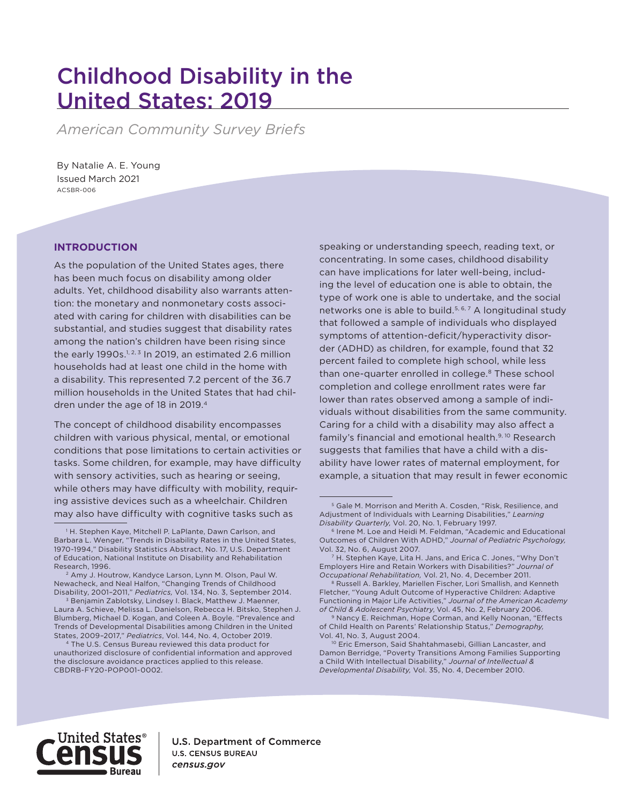# Childhood Disability in the United States: 2019

*American Community Survey Briefs*

Issued March 2021 ACSBR-006 By Natalie A. E. Young

### **INTRODUCTION**

As the population of the United States ages, there has been much focus on disability among older adults. Yet, childhood disability also warrants attention: the monetary and nonmonetary costs associated with caring for children with disabilities can be substantial, and studies suggest that disability rates among the nation's children have been rising since the early 1990s.<sup>1, 2, 3</sup> In 2019, an estimated 2.6 million households had at least one child in the home with a disability. This represented 7.2 percent of the 36.7 million households in the United States that had children under the age of 18 in 2019.<sup>4</sup>

The concept of childhood disability encompasses children with various physical, mental, or emotional conditions that pose limitations to certain activities or tasks. Some children, for example, may have difficulty with sensory activities, such as hearing or seeing, while others may have difficulty with mobility, requiring assistive devices such as a wheelchair. Children may also have difficulty with cognitive tasks such as

speaking or understanding speech, reading text, or concentrating. In some cases, childhood disability can have implications for later well-being, including the level of education one is able to obtain, the type of work one is able to undertake, and the social networks one is able to build.<sup>5, 6, 7</sup> A longitudinal study that followed a sample of individuals who displayed symptoms of attention-deficit/hyperactivity disorder (ADHD) as children, for example, found that 32 percent failed to complete high school, while less than one-quarter enrolled in college.<sup>8</sup> These school completion and college enrollment rates were far lower than rates observed among a sample of individuals without disabilities from the same community. Caring for a child with a disability may also affect a family's financial and emotional health.<sup>9, 10</sup> Research suggests that families that have a child with a disability have lower rates of maternal employment, for example, a situation that may result in fewer economic



**U.S. Department of Commerce U.S. CENSUS BUREAU** census.gov

<sup>1</sup> H. Stephen Kaye, Mitchell P. LaPlante, Dawn Carlson, and Barbara L. Wenger, "Trends in Disability Rates in the United States, 1970-1994," Disability Statistics Abstract, No. 17, U.S. Department of Education, National Institute on Disability and Rehabilitation Research, 1996.

<sup>2</sup> Amy J. Houtrow, Kandyce Larson, Lynn M. Olson, Paul W. Newacheck, and Neal Halfon, "Changing Trends of Childhood Disability, 2001–2011," *Pediatrics,* Vol. 134, No. 3, September 2014.

<sup>3</sup> Benjamin Zablotsky, Lindsey I. Black, Matthew J. Maenner, Laura A. Schieve, Melissa L. Danielson, Rebecca H. Bitsko, Stephen J. Blumberg, Michael D. Kogan, and Coleen A. Boyle. "Prevalence and Trends of Developmental Disabilities among Children in the United States, 2009–2017," *Pediatrics*, Vol. 144, No. 4, October 2019.

<sup>4</sup> The U.S. Census Bureau reviewed this data product for unauthorized disclosure of confidential information and approved the disclosure avoidance practices applied to this release. CBDRB-FY20-POP001-0002.

<sup>5</sup> Gale M. Morrison and Merith A. Cosden, "Risk, Resilience, and Adjustment of Individuals with Learning Disabilities," *Learning Disability Quarterly,* Vol. 20, No. 1, February 1997.

<sup>6</sup> Irene M. Loe and Heidi M. Feldman, "Academic and Educational Outcomes of Children With ADHD," *Journal of Pediatric Psychology,* Vol. 32, No. 6, August 2007.

<sup>7</sup> H. Stephen Kaye, Lita H. Jans, and Erica C. Jones, "Why Don't Employers Hire and Retain Workers with Disabilities?" *Journal of Occupational Rehabilitation,* Vol. 21, No. 4, December 2011.

<sup>&</sup>lt;sup>8</sup> Russell A. Barkley, Mariellen Fischer, Lori Smallish, and Kenneth Fletcher, "Young Adult Outcome of Hyperactive Children: Adaptive Functioning in Major Life Activities," *Journal of the American Academy of Child & Adolescent Psychiatry*, Vol. 45, No. 2, February 2006.

<sup>&</sup>lt;sup>9</sup> Nancy E. Reichman, Hope Corman, and Kelly Noonan, "Effects of Child Health on Parents' Relationship Status," *Demography,* Vol. 41, No. 3, August 2004.

<sup>10</sup> Eric Emerson, Said Shahtahmasebi, Gillian Lancaster, and Damon Berridge, "Poverty Transitions Among Families Supporting a Child With Intellectual Disability," *Journal of Intellectual & Developmental Disability,* Vol. 35, No. 4, December 2010.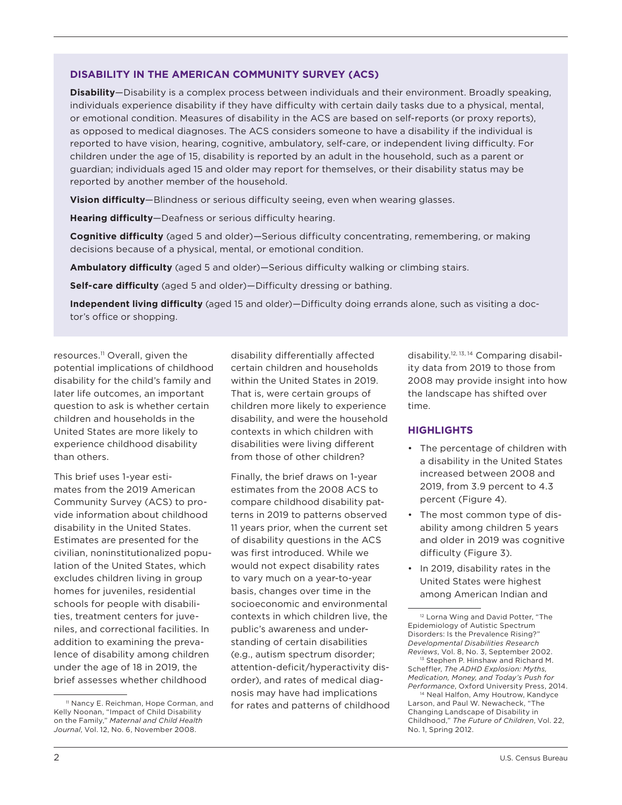### **DISABILITY IN THE AMERICAN COMMUNITY SURVEY (ACS)**

**Disability**—Disability is a complex process between individuals and their environment. Broadly speaking, individuals experience disability if they have difficulty with certain daily tasks due to a physical, mental, or emotional condition. Measures of disability in the ACS are based on self-reports (or proxy reports), as opposed to medical diagnoses. The ACS considers someone to have a disability if the individual is reported to have vision, hearing, cognitive, ambulatory, self-care, or independent living difficulty. For children under the age of 15, disability is reported by an adult in the household, such as a parent or guardian; individuals aged 15 and older may report for themselves, or their disability status may be reported by another member of the household.

**Vision difficulty**—Blindness or serious difficulty seeing, even when wearing glasses.

**Hearing difficulty**—Deafness or serious difficulty hearing.

**Cognitive difficulty** (aged 5 and older)—Serious difficulty concentrating, remembering, or making decisions because of a physical, mental, or emotional condition.

**Ambulatory difficulty** (aged 5 and older)—Serious difficulty walking or climbing stairs.

**Self-care difficulty** (aged 5 and older)—Difficulty dressing or bathing.

**Independent living difficulty** (aged 15 and older)—Difficulty doing errands alone, such as visiting a doctor's office or shopping.

resources.<sup>11</sup> Overall, given the potential implications of childhood disability for the child's family and later life outcomes, an important question to ask is whether certain children and households in the United States are more likely to experience childhood disability than others.

This brief uses 1-year estimates from the 2019 American Community Survey (ACS) to provide information about childhood disability in the United States. Estimates are presented for the civilian, noninstitutionalized population of the United States, which excludes children living in group homes for juveniles, residential schools for people with disabilities, treatment centers for juveniles, and correctional facilities. In addition to examining the prevalence of disability among children under the age of 18 in 2019, the brief assesses whether childhood

<sup>11</sup> Nancy E. Reichman, Hope Corman, and Kelly Noonan, "Impact of Child Disability on the Family," *Maternal and Child Health Journal*, Vol. 12, No. 6, November 2008.

disability differentially affected certain children and households within the United States in 2019. That is, were certain groups of children more likely to experience disability, and were the household contexts in which children with disabilities were living different from those of other children?

Finally, the brief draws on 1-year estimates from the 2008 ACS to compare childhood disability patterns in 2019 to patterns observed 11 years prior, when the current set of disability questions in the ACS was first introduced. While we would not expect disability rates to vary much on a year-to-year basis, changes over time in the socioeconomic and environmental contexts in which children live, the public's awareness and understanding of certain disabilities (e.g., autism spectrum disorder; attention-deficit/hyperactivity disorder), and rates of medical diagnosis may have had implications for rates and patterns of childhood

disability.12, 13, 14 Comparing disability data from 2019 to those from 2008 may provide insight into how the landscape has shifted over time.

### **HIGHLIGHTS**

- The percentage of children with a disability in the United States increased between 2008 and 2019, from 3.9 percent to 4.3 percent (Figure 4).
- The most common type of disability among children 5 years and older in 2019 was cognitive difficulty (Figure 3).
- In 2019, disability rates in the United States were highest among American Indian and

<sup>&</sup>lt;sup>12</sup> Lorna Wing and David Potter, "The Epidemiology of Autistic Spectrum Disorders: Is the Prevalence Rising?" *Developmental Disabilities Research Reviews*, Vol. 8, No. 3, September 2002.

<sup>13</sup> Stephen P. Hinshaw and Richard M. Scheffler, *The ADHD Explosion: Myths, Medication, Money, and Today's Push for Performance*, Oxford University Press, 2014.

<sup>&</sup>lt;sup>14</sup> Neal Halfon, Amy Houtrow, Kandyce Larson, and Paul W. Newacheck, "The Changing Landscape of Disability in Childhood," *The Future of Children*, Vol. 22, No. 1, Spring 2012.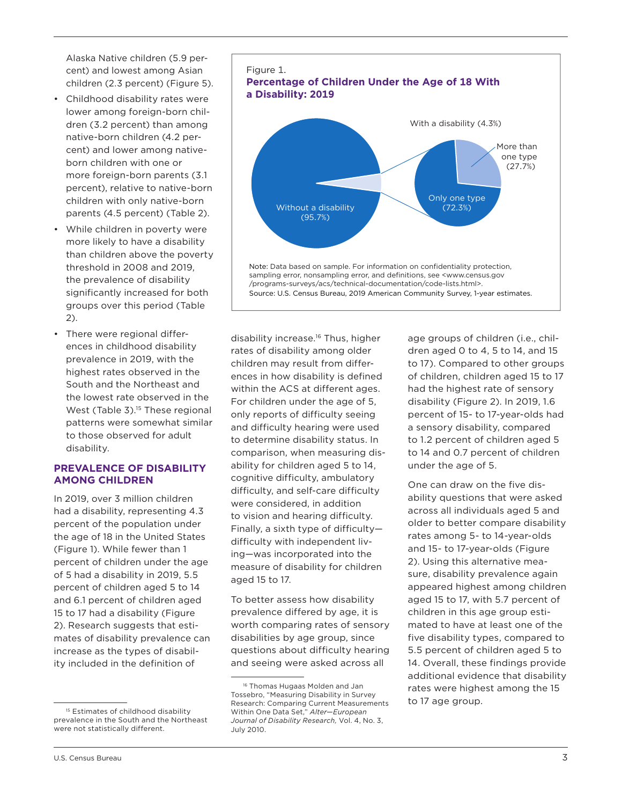Alaska Native children (5.9 percent) and lowest among Asian children (2.3 percent) (Figure 5).

- Childhood disability rates were lower among foreign-born children (3.2 percent) than among native-born children (4.2 percent) and lower among nativeborn children with one or more foreign-born parents (3.1 percent), relative to native-born children with only native-born parents (4.5 percent) (Table 2).
- While children in poverty were more likely to have a disability than children above the poverty threshold in 2008 and 2019, the prevalence of disability significantly increased for both groups over this period (Table 2).
- There were regional differences in childhood disability prevalence in 2019, with the highest rates observed in the South and the Northeast and the lowest rate observed in the West (Table 3).<sup>15</sup> These regional patterns were somewhat similar to those observed for adult disability.

### **PREVALENCE OF DISABILITY AMONG CHILDREN**

In 2019, over 3 million children had a disability, representing 4.3 percent of the population under the age of 18 in the United States (Figure 1). While fewer than 1 percent of children under the age of 5 had a disability in 2019, 5.5 percent of children aged 5 to 14 and 6.1 percent of children aged 15 to 17 had a disability (Figure 2). Research suggests that estimates of disability prevalence can increase as the types of disability included in the definition of



disability increase.16 Thus, higher rates of disability among older children may result from differences in how disability is defined within the ACS at different ages. For children under the age of 5, only reports of difficulty seeing and difficulty hearing were used to determine disability status. In comparison, when measuring disability for children aged 5 to 14, cognitive difficulty, ambulatory difficulty, and self-care difficulty were considered, in addition to vision and hearing difficulty. Finally, a sixth type of difficulty difficulty with independent living—was incorporated into the measure of disability for children aged 15 to 17.

To better assess how disability prevalence differed by age, it is worth comparing rates of sensory disabilities by age group, since questions about difficulty hearing and seeing were asked across all

age groups of children (i.e., children aged 0 to 4, 5 to 14, and 15 to 17). Compared to other groups of children, children aged 15 to 17 had the highest rate of sensory disability (Figure 2). In 2019, 1.6 percent of 15- to 17-year-olds had a sensory disability, compared to 1.2 percent of children aged 5 to 14 and 0.7 percent of children under the age of 5.

One can draw on the five disability questions that were asked across all individuals aged 5 and older to better compare disability rates among 5- to 14-year-olds and 15- to 17-year-olds (Figure 2). Using this alternative measure, disability prevalence again appeared highest among children aged 15 to 17, with 5.7 percent of children in this age group estimated to have at least one of the five disability types, compared to 5.5 percent of children aged 5 to 14. Overall, these findings provide additional evidence that disability rates were highest among the 15 to 17 age group.

<sup>&</sup>lt;sup>15</sup> Estimates of childhood disability prevalence in the South and the Northeast were not statistically different.

<sup>16</sup> Thomas Hugaas Molden and Jan Tossebro, "Measuring Disability in Survey Research: Comparing Current Measurements Within One Data Set," *Alter—European Journal of Disability Research,* Vol. 4, No. 3, July 2010.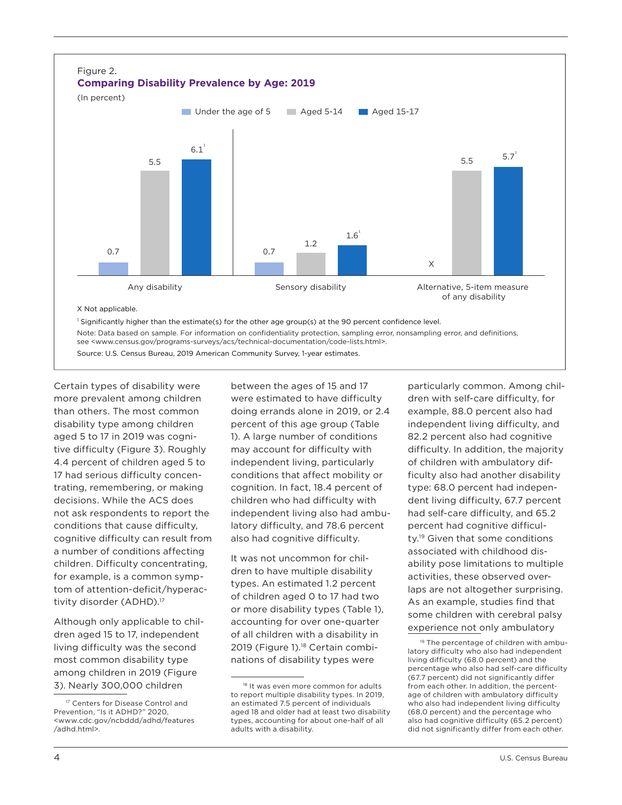

see <www.census.gov/programs-surveys/acs/technical-documentation/code-lists.html>.

Source: U.S. Census Bureau, 2019 American Community Survey, 1-year estimates.

Certain types of disability were more prevalent among children than others. The most common disability type among children aged 5 to 17 in 2019 was cognitive difficulty (Figure 3). Roughly 4.4 percent of children aged 5 to 17 had serious difficulty concentrating, remembering, or making decisions. While the ACS does not ask respondents to report the conditions that cause difficulty, cognitive difficulty can result from a number of conditions affecting children. Difficulty concentrating, for example, is a common symptom of attention-deficit/hyperactivity disorder (ADHD).17

Although only applicable to children aged 15 to 17, independent living difficulty was the second most common disability type among children in 2019 (Figure 3). Nearly 300,000 children

between the ages of 15 and 17 were estimated to have difficulty doing errands alone in 2019, or 2.4 percent of this age group (Table 1). A large number of conditions may account for difficulty with independent living, particularly conditions that affect mobility or cognition. In fact, 18.4 percent of children who had difficulty with independent living also had ambulatory difficulty, and 78.6 percent also had cognitive difficulty.

It was not uncommon for children to have multiple disability types. An estimated 1.2 percent of children aged 0 to 17 had two or more disability types (Table 1), accounting for over one-quarter of all children with a disability in 2019 (Figure 1).<sup>18</sup> Certain combinations of disability types were

particularly common. Among children with self-care difficulty, for example, 88.0 percent also had independent living difficulty, and 82.2 percent also had cognitive difficulty. In addition, the majority of children with ambulatory difficulty also had another disability type: 68.0 percent had independent living difficulty, 67.7 percent had self-care difficulty, and 65.2 percent had cognitive difficulty.19 Given that some conditions associated with childhood disability pose limitations to multiple activities, these observed overlaps are not altogether surprising. As an example, studies find that some children with cerebral palsy experience not only ambulatory

<sup>&</sup>lt;sup>17</sup> Centers for Disease Control and Prevention, "Is it ADHD?" 2020, <www.cdc.gov/ncbddd/adhd/features /adhd.html>.

<sup>18</sup> It was even more common for adults to report multiple disability types. In 2019, an estimated 7.5 percent of individuals aged 18 and older had at least two disability types, accounting for about one-half of all adults with a disability.

<sup>&</sup>lt;sup>19</sup> The percentage of children with ambulatory difficulty who also had independent living difficulty (68.0 percent) and the percentage who also had self-care difficulty (67.7 percent) did not significantly differ from each other. In addition, the percentage of children with ambulatory difficulty who also had independent living difficulty (68.0 percent) and the percentage who also had cognitive difficulty (65.2 percent) did not significantly differ from each other.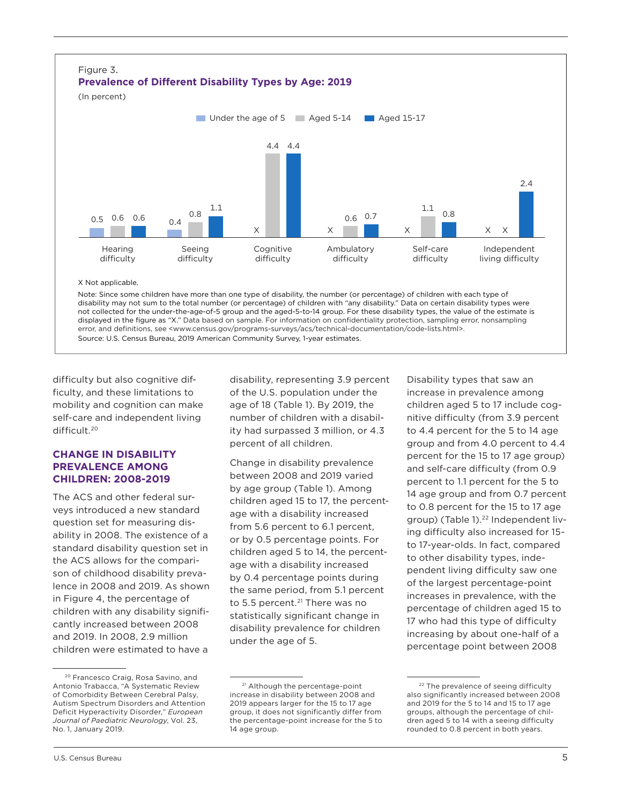

disability may not sum to the total number (or percentage) of children with "any disability." Data on certain disability types were not collected for the under-the-age-of-5 group and the aged-5-to-14 group. For these disability types, the value of the estimate is displayed in the figure as "X." Data based on sample. For information on confidentiality protection, sampling error, nonsampling error, and definitions, see <www.census.gov/programs-surveys/acs/technical-documentation/code-lists.html>. Source: U.S. Census Bureau, 2019 American Community Survey, 1-year estimates.

difficulty but also cognitive difficulty, and these limitations to mobility and cognition can make self-care and independent living difficult.20

### **CHANGE IN DISABILITY PREVALENCE AMONG CHILDREN: 2008-2019**

The ACS and other federal surveys introduced a new standard question set for measuring disability in 2008. The existence of a standard disability question set in the ACS allows for the comparison of childhood disability prevalence in 2008 and 2019. As shown in Figure 4, the percentage of children with any disability significantly increased between 2008 and 2019. In 2008, 2.9 million children were estimated to have a

20 Francesco Craig, Rosa Savino, and Antonio Trabacca, "A Systematic Review of Comorbidity Between Cerebral Palsy, Autism Spectrum Disorders and Attention Deficit Hyperactivity Disorder," *European Journal of Paediatric Neurology*, Vol. 23, No. 1, January 2019.

disability, representing 3.9 percent of the U.S. population under the age of 18 (Table 1). By 2019, the number of children with a disability had surpassed 3 million, or 4.3 percent of all children.

Change in disability prevalence between 2008 and 2019 varied by age group (Table 1). Among children aged 15 to 17, the percentage with a disability increased from 5.6 percent to 6.1 percent, or by 0.5 percentage points. For children aged 5 to 14, the percentage with a disability increased by 0.4 percentage points during the same period, from 5.1 percent to 5.5 percent.<sup>21</sup> There was no statistically significant change in disability prevalence for children under the age of 5.

Disability types that saw an increase in prevalence among children aged 5 to 17 include cognitive difficulty (from 3.9 percent to 4.4 percent for the 5 to 14 age group and from 4.0 percent to 4.4 percent for the 15 to 17 age group) and self-care difficulty (from 0.9 percent to 1.1 percent for the 5 to 14 age group and from 0.7 percent to 0.8 percent for the 15 to 17 age group) (Table 1).<sup>22</sup> Independent living difficulty also increased for 15 to 17-year-olds. In fact, compared to other disability types, independent living difficulty saw one of the largest percentage-point increases in prevalence, with the percentage of children aged 15 to 17 who had this type of difficulty increasing by about one-half of a percentage point between 2008

<sup>&</sup>lt;sup>21</sup> Although the percentage-point increase in disability between 2008 and 2019 appears larger for the 15 to 17 age group, it does not significantly differ from the percentage-point increase for the 5 to 14 age group.

<sup>&</sup>lt;sup>22</sup> The prevalence of seeing difficulty also significantly increased between 2008 and 2019 for the 5 to 14 and 15 to 17 age groups, although the percentage of children aged 5 to 14 with a seeing difficulty rounded to 0.8 percent in both years.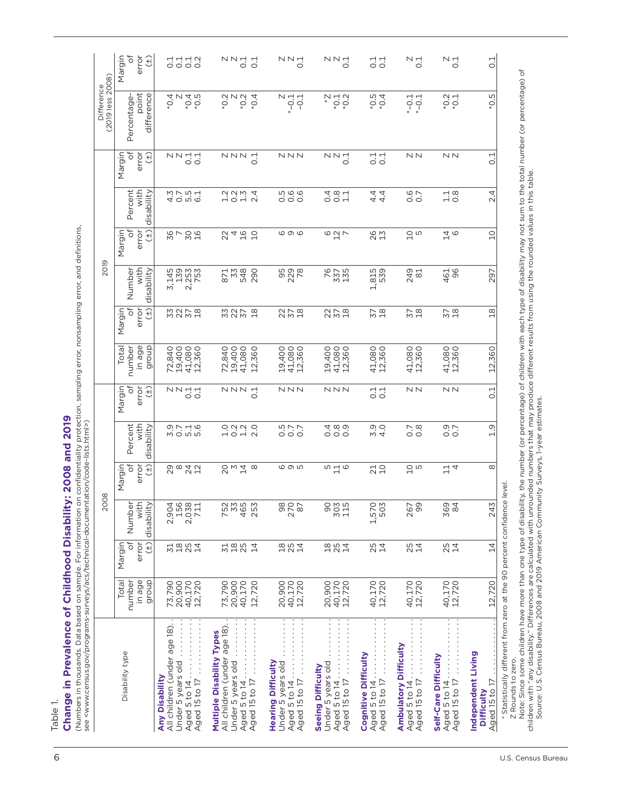| ö<br>ö<br>Percent<br>with<br>0<br>disability<br>Q<br>$\frac{3}{4}$ .0<br>0.7<br>$\frac{0}{10}$<br>1.2<br>5<br>0<br>0<br>0<br>0<br>0<br>000<br>000<br>$0.7$<br>$0.8$<br>H<br>$\sim$<br>đ<br>error<br>$(\pm)$<br>Margin<br><b>com</b><br>$\infty$<br>2842<br>2842<br>2<br>2<br>2<br>2<br>2<br>$\infty$<br>n H o<br>710<br>$\frac{10}{5}$<br>$\frac{11}{4}$ | in age<br>dronb<br>number<br>41,080<br>12,360<br>19,400<br>41,080<br>41,080<br>12,360<br>41,080<br>12,360<br>41,080<br>12,360<br>Total<br>72,840<br>19,400<br>72,840<br>12,360<br>19,400<br>19,400<br>41,080<br>12,360<br>41,080<br>12,360<br>error<br>$\overline{\sigma}$<br>Margin<br>NNN<br>NNN<br>$\frac{1}{0.1}$<br>NN<br>NN<br>Đ<br>NN <sub>TH</sub><br>NNN<br>$\overline{\phantom{0}}$<br>$\overline{ }$ | ð<br>$\widehat{f}$<br>Margin<br>error<br>33<br>37<br>$\frac{8}{10}$<br>278<br>278<br>57<br>18<br>$57$<br>$18$<br>$57$<br>$18$ | $\widehat{f}$<br>ð<br>error<br>Margin<br>696<br>30<br>16<br>$\frac{1}{2}$<br>$\circ$ $\frac{1}{2}$ $\sim$<br>867<br>4<br>$\Omega$<br>26<br>13<br>$\frac{10}{5}$<br>$\frac{1}{4}$<br>22<br>2019<br>with<br>disability<br>95<br>229<br>28<br>76<br>337<br>135<br>3,145<br>139<br>2,253<br>753<br>871<br>33<br>548<br>1,815<br>539<br>461<br>96<br>Number<br>290<br>249<br>81 | Percent<br>with<br>disability<br>5<br>0<br>0<br>0<br>0<br>0.7<br>40 n 0<br>40 n 0<br>$2027$<br>$-1027$<br>4<br>001<br>001<br>यं यं<br>यं यं<br>$\frac{1}{0}$ .8<br>$\overline{\sim}$ | đ<br>error<br>Margin<br>$(\pm)$<br>NN<br>NNN<br>NN-<br>NN<br>NN <sub>TI</sub><br>NN <sub>TI</sub><br>NNN નં<br>$\frac{1}{0}$ .1<br>Ö<br>$\circ$ | (2019 less 2008)<br>Difference<br>point<br>difference<br>$*0.5$<br>$-0.4$<br>$\frac{4}{9}$ Z<br>$^{*0.5}_{0.5}$<br>$*0.2$<br>$*0.4$<br>$\begin{array}{c}\nN & \rightarrow \\ N & \rightarrow \\ N & \rightarrow \\ N & \rightarrow \\ N & \rightarrow\n\end{array}$<br>$*0.2$<br>$*0.1$<br>$\frac{2}{9}$ N<br>N<br>$-0.1$<br>$-0.1$<br>$*$ -0.1<br>$* -0.1$<br>Percentage |
|----------------------------------------------------------------------------------------------------------------------------------------------------------------------------------------------------------------------------------------------------------------------------------------------------------------------------------------------------------|-----------------------------------------------------------------------------------------------------------------------------------------------------------------------------------------------------------------------------------------------------------------------------------------------------------------------------------------------------------------------------------------------------------------|-------------------------------------------------------------------------------------------------------------------------------|----------------------------------------------------------------------------------------------------------------------------------------------------------------------------------------------------------------------------------------------------------------------------------------------------------------------------------------------------------------------------|--------------------------------------------------------------------------------------------------------------------------------------------------------------------------------------|-------------------------------------------------------------------------------------------------------------------------------------------------|---------------------------------------------------------------------------------------------------------------------------------------------------------------------------------------------------------------------------------------------------------------------------------------------------------------------------------------------------------------------------|
|                                                                                                                                                                                                                                                                                                                                                          |                                                                                                                                                                                                                                                                                                                                                                                                                 | $\frac{8}{10}$                                                                                                                |                                                                                                                                                                                                                                                                                                                                                                            |                                                                                                                                                                                      |                                                                                                                                                 | LN,<br><u>ٍ</u><br>ų<br>Ö<br>4<br>$\overline{\mathsf{N}}$<br>$\Omega$<br>297<br>12,360                                                                                                                                                                                                                                                                                    |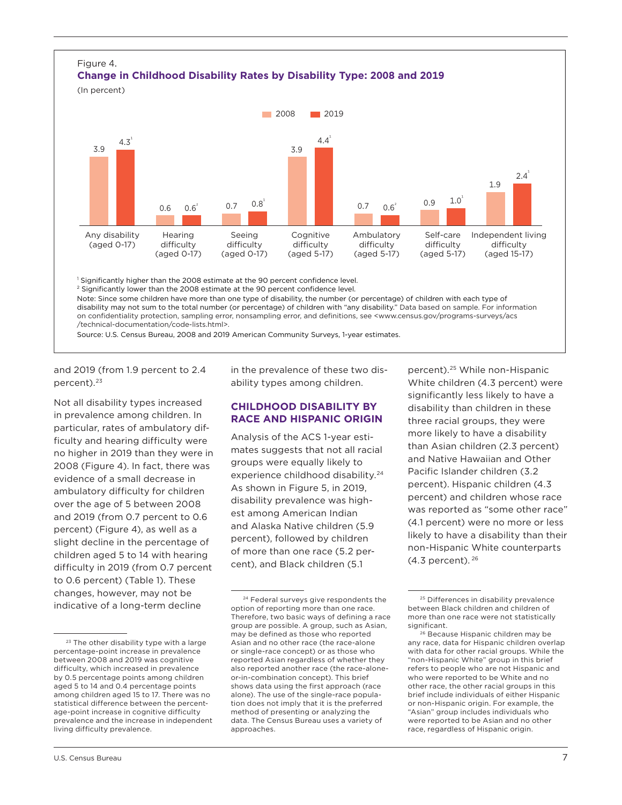

on confidentiality protection, sampling error, nonsampling error, and definitions, see <www.census.gov/programs-surveys/acs /technical-documentation/code-lists.html>.

Source: U.S. Census Bureau, 2008 and 2019 American Community Surveys, 1-year estimates.

and 2019 (from 1.9 percent to 2.4 percent).<sup>23</sup>

Not all disability types increased in prevalence among children. In particular, rates of ambulatory difficulty and hearing difficulty were no higher in 2019 than they were in 2008 (Figure 4). In fact, there was evidence of a small decrease in ambulatory difficulty for children over the age of 5 between 2008 and 2019 (from 0.7 percent to 0.6 percent) (Figure 4), as well as a slight decline in the percentage of children aged 5 to 14 with hearing difficulty in 2019 (from 0.7 percent to 0.6 percent) (Table 1). These changes, however, may not be indicative of a long-term decline

in the prevalence of these two disability types among children.

### **CHILDHOOD DISABILITY BY RACE AND HISPANIC ORIGIN**

Analysis of the ACS 1-year estimates suggests that not all racial groups were equally likely to experience childhood disability.<sup>24</sup> As shown in Figure 5, in 2019, disability prevalence was highest among American Indian and Alaska Native children (5.9 percent), followed by children of more than one race (5.2 percent), and Black children (5.1

percent).25 While non-Hispanic White children (4.3 percent) were significantly less likely to have a disability than children in these three racial groups, they were more likely to have a disability than Asian children (2.3 percent) and Native Hawaiian and Other Pacific Islander children (3.2 percent). Hispanic children (4.3 percent) and children whose race was reported as "some other race" (4.1 percent) were no more or less likely to have a disability than their non-Hispanic White counterparts  $(4.3$  percent).  $26$ 

<sup>&</sup>lt;sup>23</sup> The other disability type with a large percentage-point increase in prevalence between 2008 and 2019 was cognitive difficulty, which increased in prevalence by 0.5 percentage points among children aged 5 to 14 and 0.4 percentage points among children aged 15 to 17. There was no statistical difference between the percentage-point increase in cognitive difficulty prevalence and the increase in independent living difficulty prevalence.

<sup>24</sup> Federal surveys give respondents the option of reporting more than one race. Therefore, two basic ways of defining a race group are possible. A group, such as Asian, may be defined as those who reported Asian and no other race (the race-alone or single-race concept) or as those who reported Asian regardless of whether they also reported another race (the race-aloneor-in-combination concept). This brief shows data using the first approach (race alone). The use of the single-race population does not imply that it is the preferred method of presenting or analyzing the data. The Census Bureau uses a variety of approaches.

<sup>25</sup> Differences in disability prevalence between Black children and children of more than one race were not statistically significant.

<sup>26</sup> Because Hispanic children may be any race, data for Hispanic children overlap with data for other racial groups. While the "non-Hispanic White" group in this brief refers to people who are not Hispanic and who were reported to be White and no other race, the other racial groups in this brief include individuals of either Hispanic or non-Hispanic origin. For example, the "Asian" group includes individuals who were reported to be Asian and no other race, regardless of Hispanic origin.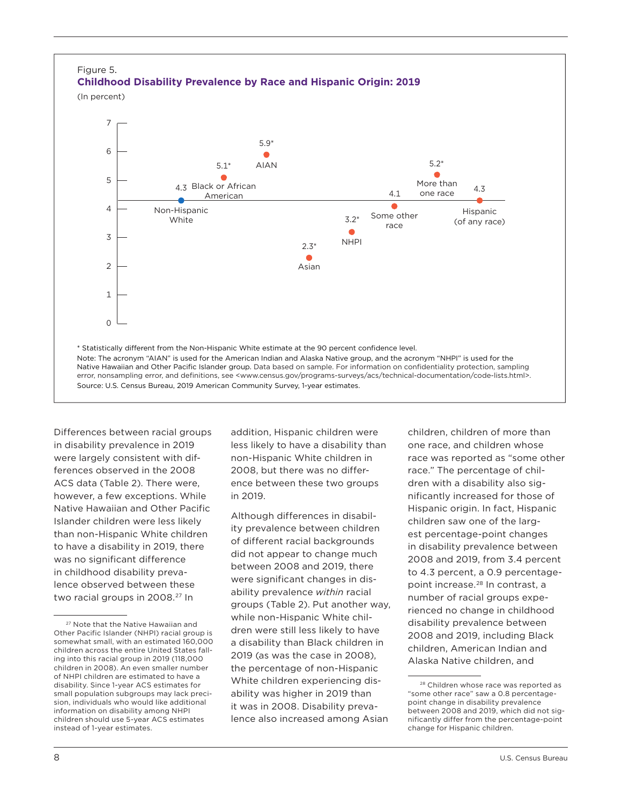

Differences between racial groups in disability prevalence in 2019 were largely consistent with differences observed in the 2008 ACS data (Table 2). There were, however, a few exceptions. While Native Hawaiian and Other Pacific Islander children were less likely than non-Hispanic White children to have a disability in 2019, there was no significant difference in childhood disability prevalence observed between these two racial groups in 2008.<sup>27</sup> In

addition, Hispanic children were less likely to have a disability than non-Hispanic White children in 2008, but there was no difference between these two groups in 2019.

Although differences in disability prevalence between children of different racial backgrounds did not appear to change much between 2008 and 2019, there were significant changes in disability prevalence *within* racial groups (Table 2). Put another way, while non-Hispanic White children were still less likely to have a disability than Black children in 2019 (as was the case in 2008), the percentage of non-Hispanic White children experiencing disability was higher in 2019 than it was in 2008. Disability prevalence also increased among Asian

children, children of more than one race, and children whose race was reported as "some other race." The percentage of children with a disability also significantly increased for those of Hispanic origin. In fact, Hispanic children saw one of the largest percentage-point changes in disability prevalence between 2008 and 2019, from 3.4 percent to 4.3 percent, a 0.9 percentagepoint increase.<sup>28</sup> In contrast, a number of racial groups experienced no change in childhood disability prevalence between 2008 and 2019, including Black children, American Indian and Alaska Native children, and

<sup>&</sup>lt;sup>27</sup> Note that the Native Hawaiian and Other Pacific Islander (NHPI) racial group is somewhat small, with an estimated 160,000 children across the entire United States falling into this racial group in 2019 (118,000 children in 2008). An even smaller number of NHPI children are estimated to have a disability. Since 1-year ACS estimates for small population subgroups may lack precision, individuals who would like additional information on disability among NHPI children should use 5-year ACS estimates instead of 1-year estimates.

<sup>28</sup> Children whose race was reported as "some other race" saw a 0.8 percentagepoint change in disability prevalence between 2008 and 2019, which did not significantly differ from the percentage-point change for Hispanic children.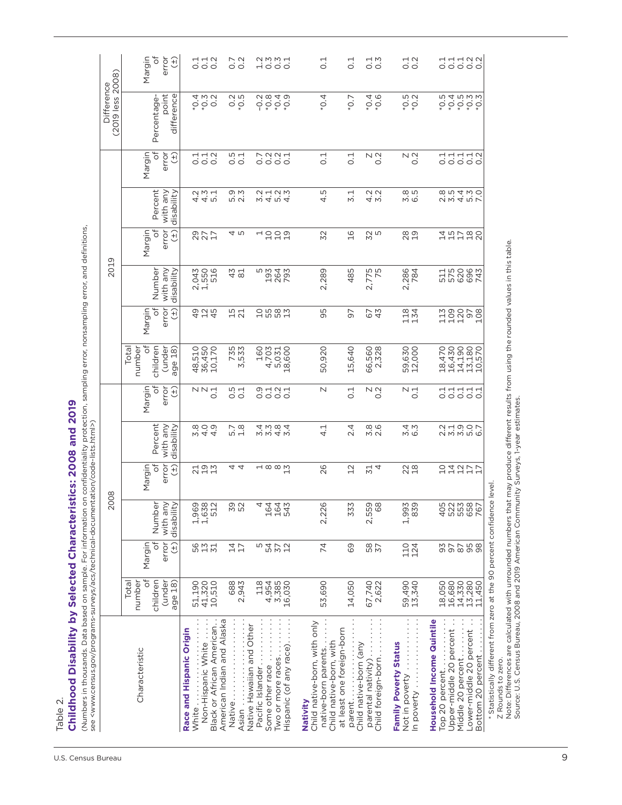Table 2.

# **Childhood Disability by Selected Characteristics: 2008 and 2019**  Childhood Disability by Selected Characteristics: 2008 and 2019

(Numbers in thousands. Data based on sample. For information on confi dentiality protection, sampling error, nonsampling error, and defi nitions, (Numbers in thousands. Data based on sample. For information on confidentiality protection, sampling error, nonsampling error, and definitions,<br>see <www.census.gov/programs-surveys/acs/technical-documentation/code-lists.ht see <www.census.gov/programs-surveys/acs/technical-documentation/code-lists.html>)

| (2019 less 2008)<br>Difference | Margin<br>ð                             | error<br>$\widehat{H}$   |                                   | $\begin{array}{c} 74 \\ 0 \\ 0 \\ 0 \\ 0 \\ \end{array}$ | 0.7                                   | 0.2              |                                               |                 | amma<br>Hooo                                  |          | $\overline{0}$ .                                    |                                                      | $\frac{1}{\circ}$                 | $\frac{1}{0.3}$                                |                              | $\frac{1}{0}$ .2                               |                           |                                           |                   |                         | dddaa<br>dddaa                  |
|--------------------------------|-----------------------------------------|--------------------------|-----------------------------------|----------------------------------------------------------|---------------------------------------|------------------|-----------------------------------------------|-----------------|-----------------------------------------------|----------|-----------------------------------------------------|------------------------------------------------------|-----------------------------------|------------------------------------------------|------------------------------|------------------------------------------------|---------------------------|-------------------------------------------|-------------------|-------------------------|---------------------------------|
|                                | Percentage-                             | point<br>difference      |                                   | * * 0<br>Ö Ö O<br>* 7                                    | 0.5                                   |                  | $-0.2$                                        | $*0.8$          | $*0.4$<br>$^{*0.9}$                           |          | $^{*}$ O <sub>:</sub> 4                             |                                                      | 50,7                              | $*0.4$<br>$^{*}0.6$                            |                              | $-5.0*$<br>$*0.2$                              |                           | 50.5<br>$*0.4$                            | $-5.0*$           |                         | $\frac{2}{5}$ . 0 $\frac{3}{5}$ |
|                                | ð<br>Margin                             | error<br>(+)             |                                   | $\frac{1}{0}$ $\frac{1}{0}$ $\frac{1}{0}$                | rù<br>Õ                               | $\overline{0}$ . | 0.7                                           |                 | 0.01                                          |          | $\overline{0}.1$                                    |                                                      | $\overline{0}$ .                  | $\begin{array}{c}\n0.7 \\ 0.7\n\end{array}$    |                              | $\begin{array}{c}\n0.7 \\ 0.7\n\end{array}$    |                           |                                           |                   |                         | 00000                           |
|                                | Percent                                 | with any<br>disability   |                                   | 445<br>445                                               | מִי מַ<br>ம் வ                        |                  |                                               |                 |                                               |          | 4.5                                                 |                                                      | $\overline{5}.1$                  | $4.2$<br>$5.2$                                 |                              | 8<br>6<br>6<br>6                               |                           |                                           |                   |                         | ow 4 m L<br>S M 4 M O           |
|                                | ð<br>Margin                             | error<br>$\widehat{H}$   |                                   | 2221                                                     | 4 ru                                  |                  |                                               |                 | ュコココ                                          |          | 32                                                  |                                                      | $\frac{1}{2}$                     | <b>SS</b><br>5                                 |                              | 280                                            |                           | はおけ                                       |                   |                         | $\frac{8}{20}$                  |
| 2019                           | Number                                  | with any<br>disability   |                                   | 2,043<br>1,550<br>516                                    | 43                                    | $\overline{8}$   | Ю                                             |                 | 193<br>264<br>793                             |          | 2,289                                               |                                                      | 485                               | 2,775                                          |                              | 2,286<br>784                                   |                           | 575<br>511                                | 620               |                         | 696<br>743                      |
|                                | $\overline{\sigma}$<br>Margin           | error<br>$\widehat{t}$   |                                   | 9<br>9 2 4<br>4 4                                        | 15<br>21                              |                  |                                               |                 | <b>2582</b>                                   |          | 95                                                  |                                                      | 57                                | 67<br>43                                       |                              | 118<br>134                                     |                           | 109<br>113                                | 120               | 60                      | 108                             |
|                                | ð<br>number<br>children<br>Total        | (under<br>age 18)        |                                   | 48,510<br>36,450<br>10,170                               | 735<br>3,533                          |                  | 160                                           | 4,703<br>5,031  | 18,600                                        |          | 50,920                                              |                                                      | 15,640                            | 66,560<br>2,328                                |                              | 59,630<br>12,000                               |                           | 16,430<br>18,470                          | 14,190            |                         | 13,180<br>10,570                |
|                                | ð<br>Margin                             | error<br>$\widetilde{f}$ |                                   | $\begin{array}{c}\nN \\ N \\ \hline\n0\n\end{array}$     | 5<br>0.1                              |                  |                                               |                 | oda<br>odoo                                   |          | N                                                   |                                                      | 0.1                               | $\begin{array}{c}\n 0.2 \\  0.2\n \end{array}$ |                              | $\begin{array}{c}\n\nabla \\ 0.1\n\end{array}$ |                           |                                           |                   |                         | 00000<br>111111                 |
|                                | Percent                                 | with any<br>disability   |                                   |                                                          | $\frac{7}{1.8}$                       |                  |                                               |                 | ww4w<br>4 w ¤ 4                               |          | $\frac{1}{4}$                                       |                                                      | 2.4                               | $3.8$<br>2.6                                   |                              | 5.3<br>6.3                                     |                           |                                           |                   |                         | S<br>Sino<br>Sino               |
|                                | ofl<br>Margin                           | error<br>$\widehat{H}$   |                                   | 71000                                                    | 44                                    |                  |                                               |                 | $\frac{1}{1}$ $\infty$ $\infty$ $\frac{1}{1}$ |          | 26                                                  |                                                      | 12                                | $\frac{1}{4}$                                  |                              | 234                                            |                           |                                           |                   |                         | ひはひひひ                           |
| 2008                           | Number                                  | with any<br>disability   |                                   | 1,638<br>1,632<br>512                                    | 52<br>52                              |                  |                                               |                 | 4 4 4 4<br>4 4 4 4<br>4 4 4 7                 |          | 2,226                                               |                                                      | $\mathsf{M}$<br>33.               | 2,559<br>68                                    |                              | 1,993<br>839                                   |                           |                                           |                   |                         | 923887<br>925887                |
|                                | ð<br>Margin                             | error<br>$\frac{1}{2}$   |                                   | 50<br>13<br>13<br>3                                      | $\frac{1}{4}$                         |                  | ഗ                                             |                 | 5<br>4<br>5<br>4<br>5<br>2<br>5<br>2          |          | 74                                                  |                                                      | 69                                | 58<br>37                                       |                              | 124<br>124                                     |                           |                                           |                   |                         | 87788<br>8888                   |
|                                | $\sigma$<br>children<br>number<br>Total | (under<br>age 18)        | 51,190                            | 41,320<br>10,510                                         | 688                                   | 2,943            | 118                                           | 4,954<br>3,385  | 16,030                                        |          | 53,690                                              |                                                      | 14,050                            | 67,740<br>2,622                                |                              | 59,490<br>13,340                               |                           | 18,050                                    | 16,680<br>14,330  |                         | 13,280<br>11,450                |
| Characteristic                 |                                         |                          | Race and Hispanic Origin<br>White | Black or African American.<br>Non-Hispanic White         | American Indian and Alaska<br>Native. | Asian            | Native Hawaiian and Other<br>Pacific Islander | Some other race | Hispanic (of any race).<br>Two or more races  | Nativity | Child native-born, with only<br>native-born parents | at least one foreign-born<br>Child native-born, with | Child native-born (any<br>parent. | Child foreign-born<br>parental nativity)       | <b>Family Poverty Status</b> | Not in poverty<br>In poverty                   | Household Income Quintile | Upper-middle 20 percent<br>Top 20 percent | Middle 20 percent | Lower-middle 20 percent | Bottom 20 percent               |

\* Statistically different from zero at the 90 percent confidence level.

Z Rounds to zero.

\* Statistically different from zero at the 90 percent confidence level.<br>Z Rounds to zero.<br>Note: Differences are calculated with unrounded numbers that may produce different results from using the rounded values in this tab Note: Differences are calculated with unrounded numbers that may produce different results from using the rounded values in this table. Source: U.S. Census Bureau, 2008 and 2019 American Community Surveys, 1-year estimates.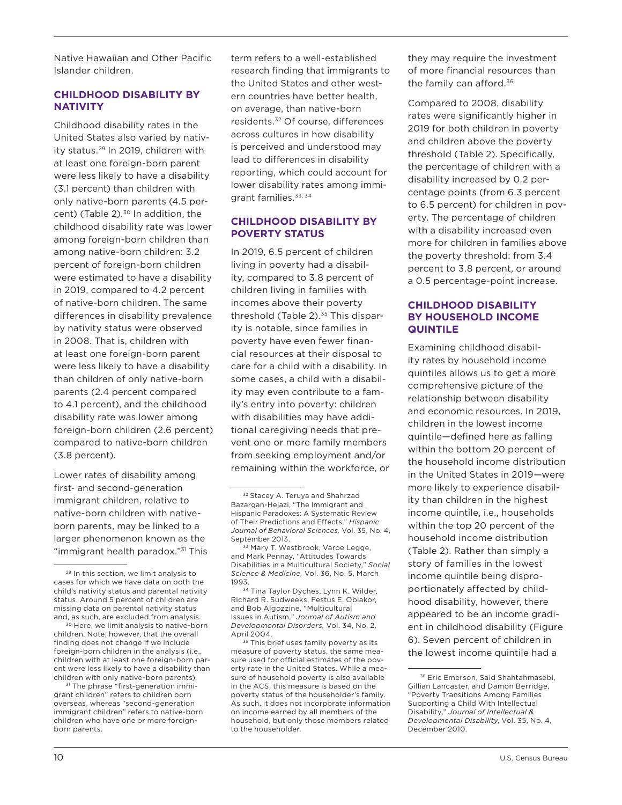Native Hawaiian and Other Pacific Islander children.

### **CHILDHOOD DISABILITY BY NATIVITY**

Childhood disability rates in the United States also varied by nativity status.<sup>29</sup> In 2019, children with at least one foreign-born parent were less likely to have a disability (3.1 percent) than children with only native-born parents (4.5 percent) (Table  $2$ ).<sup>30</sup> In addition, the childhood disability rate was lower among foreign-born children than among native-born children: 3.2 percent of foreign-born children were estimated to have a disability in 2019, compared to 4.2 percent of native-born children. The same differences in disability prevalence by nativity status were observed in 2008. That is, children with at least one foreign-born parent were less likely to have a disability than children of only native-born parents (2.4 percent compared to 4.1 percent), and the childhood disability rate was lower among foreign-born children (2.6 percent) compared to native-born children (3.8 percent).

Lower rates of disability among first- and second-generation immigrant children, relative to native-born children with nativeborn parents, may be linked to a larger phenomenon known as the "immigrant health paradox."<sup>31</sup> This

<sup>30</sup> Here, we limit analysis to native-born children. Note, however, that the overall finding does not change if we include foreign-born children in the analysis (i.e., children with at least one foreign-born parent were less likely to have a disability than children with only native-born parents).<br><sup>31</sup> The phrase "first-generation immi-

grant children" refers to children born overseas, whereas "second-generation immigrant children" refers to native-born children who have one or more foreignborn parents.

term refers to a well-established research finding that immigrants to the United States and other western countries have better health, on average, than native-born residents.32 Of course, differences across cultures in how disability is perceived and understood may lead to differences in disability reporting, which could account for lower disability rates among immigrant families.33, 34

### **CHILDHOOD DISABILITY BY POVERTY STATUS**

In 2019, 6.5 percent of children living in poverty had a disability, compared to 3.8 percent of children living in families with incomes above their poverty threshold (Table 2).<sup>35</sup> This disparity is notable, since families in poverty have even fewer financial resources at their disposal to care for a child with a disability. In some cases, a child with a disability may even contribute to a family's entry into poverty: children with disabilities may have additional caregiving needs that prevent one or more family members from seeking employment and/or remaining within the workforce, or

<sup>35</sup> This brief uses family poverty as its measure of poverty status, the same measure used for official estimates of the poverty rate in the United States. While a measure of household poverty is also available in the ACS, this measure is based on the poverty status of the householder's family. As such, it does not incorporate information on income earned by all members of the household, but only those members related to the householder.

they may require the investment of more financial resources than the family can afford. $36$ 

Compared to 2008, disability rates were significantly higher in 2019 for both children in poverty and children above the poverty threshold (Table 2). Specifically, the percentage of children with a disability increased by 0.2 percentage points (from 6.3 percent to 6.5 percent) for children in poverty. The percentage of children with a disability increased even more for children in families above the poverty threshold: from 3.4 percent to 3.8 percent, or around a 0.5 percentage-point increase.

### **CHILDHOOD DISABILITY BY HOUSEHOLD INCOME QUINTILE**

Examining childhood disability rates by household income quintiles allows us to get a more comprehensive picture of the relationship between disability and economic resources. In 2019, children in the lowest income quintile—defined here as falling within the bottom 20 percent of the household income distribution in the United States in 2019—were more likely to experience disability than children in the highest income quintile, i.e., households within the top 20 percent of the household income distribution (Table 2). Rather than simply a story of families in the lowest income quintile being disproportionately affected by childhood disability, however, there appeared to be an income gradient in childhood disability (Figure 6). Seven percent of children in the lowest income quintile had a

<sup>29</sup> In this section, we limit analysis to cases for which we have data on both the child's nativity status and parental nativity status. Around 5 percent of children are missing data on parental nativity status and, as such, are excluded from analysis.

<sup>&</sup>lt;sup>32</sup> Stacey A. Teruya and Shahrzad Bazargan-Hejazi, "The Immigrant and Hispanic Paradoxes: A Systematic Review of Their Predictions and Effects," *Hispanic Journal of Behavioral Sciences,* Vol. 35, No. 4, September 2013.

<sup>33</sup> Mary T. Westbrook, Varoe Legge, and Mark Pennay, "Attitudes Towards Disabilities in a Multicultural Society," *Social Science & Medicine,* Vol. 36, No. 5, March 1993.

<sup>34</sup> Tina Taylor Dyches, Lynn K. Wilder, Richard R. Sudweeks, Festus E. Obiakor, and Bob Algozzine, "Multicultural Issues in Autism," *Journal of Autism and Developmental Disorders,* Vol. 34, No. 2, April 2004.

<sup>36</sup> Eric Emerson, Said Shahtahmasebi, Gillian Lancaster, and Damon Berridge, "Poverty Transitions Among Families Supporting a Child With Intellectual Disability," *Journal of Intellectual & Developmental Disability*, Vol. 35, No. 4, December 2010.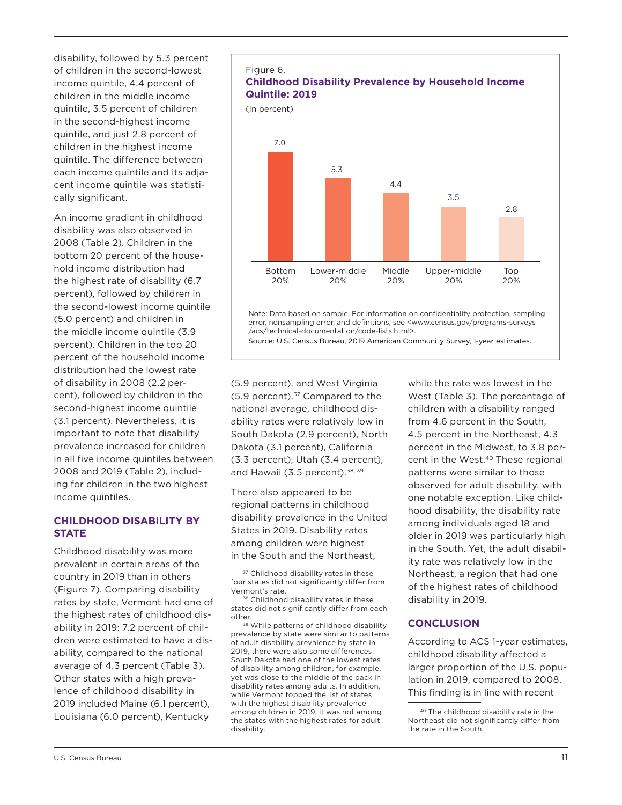disability, followed by 5.3 percent of children in the second-lowest income quintile, 4.4 percent of children in the middle income quintile, 3.5 percent of children in the second-highest income quintile, and just 2.8 percent of children in the highest income quintile. The difference between each income quintile and its adjacent income quintile was statistically significant.

An income gradient in childhood disability was also observed in 2008 (Table 2). Children in the bottom 20 percent of the household income distribution had the highest rate of disability (6.7 percent), followed by children in the second-lowest income quintile (5.0 percent) and children in the middle income quintile (3.9 percent). Children in the top 20 percent of the household income distribution had the lowest rate of disability in 2008 (2.2 percent), followed by children in the second-highest income quintile (3.1 percent). Nevertheless, it is important to note that disability prevalence increased for children in all five income quintiles between 2008 and 2019 (Table 2), including for children in the two highest income quintiles.

### **CHILDHOOD DISABILITY BY STATE**

Childhood disability was more prevalent in certain areas of the country in 2019 than in others (Figure 7). Comparing disability rates by state, Vermont had one of the highest rates of childhood disability in 2019: 7.2 percent of children were estimated to have a disability, compared to the national average of 4.3 percent (Table 3). Other states with a high prevalence of childhood disability in 2019 included Maine (6.1 percent), Louisiana (6.0 percent), Kentucky





Note: Data based on sample. For information on confidentiality protection, sampling error, nonsampling error, and definitions, see <www.census.gov/programs-surveys /acs/technical-documentation/code-lists.html>. Top 20% Upper-middle 20% Middle 20% Lower-middle 20% Bottom 20%

Source: U.S. Census Bureau, 2019 American Community Survey, 1-year estimates.

(5.9 percent), and West Virginia  $(5.9$  percent).<sup>37</sup> Compared to the national average, childhood disability rates were relatively low in South Dakota (2.9 percent), North Dakota (3.1 percent), California (3.3 percent), Utah (3.4 percent), and Hawaii (3.5 percent).<sup>38, 39</sup>

There also appeared to be regional patterns in childhood disability prevalence in the United States in 2019. Disability rates among children were highest in the South and the Northeast,

39 While patterns of childhood disability prevalence by state were similar to patterns of adult disability prevalence by state in 2019, there were also some differences. South Dakota had one of the lowest rates of disability among children, for example, yet was close to the middle of the pack in disability rates among adults. In addition, while Vermont topped the list of states with the highest disability prevalence among children in 2019, it was not among the states with the highest rates for adult disability.

while the rate was lowest in the West (Table 3). The percentage of children with a disability ranged from 4.6 percent in the South, 4.5 percent in the Northeast, 4.3 percent in the Midwest, to 3.8 percent in the West.<sup>40</sup> These regional patterns were similar to those observed for adult disability, with one notable exception. Like childhood disability, the disability rate among individuals aged 18 and older in 2019 was particularly high in the South. Yet, the adult disability rate was relatively low in the Northeast, a region that had one of the highest rates of childhood disability in 2019.

### **CONCLUSION**

According to ACS 1-year estimates, childhood disability affected a larger proportion of the U.S. population in 2019, compared to 2008. This finding is in line with recent

<sup>37</sup> Childhood disability rates in these four states did not significantly differ from Vermont's rate.

<sup>38</sup> Childhood disability rates in these states did not significantly differ from each other.

<sup>40</sup> The childhood disability rate in the Northeast did not significantly differ from the rate in the South.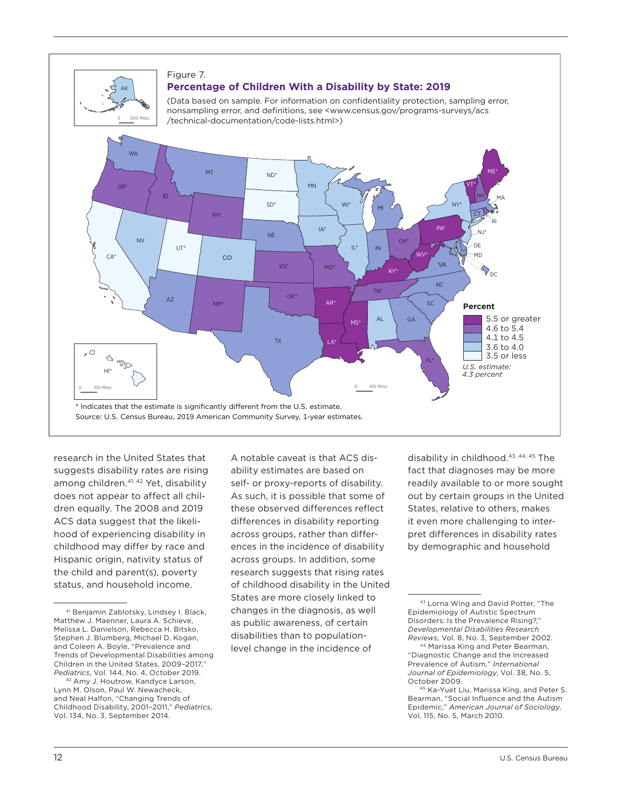

<del>Figure 3.</del><br>The second state of the second state 3.

## Figure 7. Figure 3. Figure 3. **Percentage of Children With a Disability by State: 2019 Percentage of Children with a Disability by State: 2019 Percentage of Children with a Disability by State: 2019**

**Percentage of Children with a Disability by State: 2019**

(Data based on sample. For information on confidentiality protection, sampling error, nonsampling error, and definitions, see <www.census.gov/programs-surveys/acs /technical-documentation/code-lists.html>)



research in the United States that suggests disability rates are rising among children.<sup>41, 42</sup> Yet, disability does not appear to affect all children equally. The 2008 and 2019 ACS data suggest that the likelihood of experiencing disability in childhood may differ by race and Hispanic origin, nativity status of the child and parent(s), poverty status, and household income.

A notable caveat is that ACS disability estimates are based on self- or proxy-reports of disability. As such, it is possible that some of these observed differences reflect differences in disability reporting across groups, rather than differences in the incidence of disability across groups. In addition, some research suggests that rising rates of childhood disability in the United States are more closely linked to changes in the diagnosis, as well as public awareness, of certain disabilities than to populationlevel change in the incidence of

disability in childhood.<sup>43, 44, 45</sup> The fact that diagnoses may be more readily available to or more sought out by certain groups in the United States, relative to others, makes it even more challenging to interpret differences in disability rates by demographic and household

<sup>41</sup> Benjamin Zablotsky, Lindsey I. Black, Matthew J. Maenner, Laura A. Schieve, Melissa L. Danielson, Rebecca H. Bitsko, Stephen J. Blumberg, Michael D. Kogan, and Coleen A. Boyle, "Prevalence and Trends of Developmental Disabilities among Children in the United States, 2009-2017 *Pediatrics*, Vol. 144, No. 4, October 2019.

<sup>42</sup> Amy J. Houtrow, Kandyce Larson, Lynn M. Olson, Paul W. Newacheck, and Neal Halfon, "Changing Trends of Childhood Disability, 2001–2011," *Pediatrics*, Vol. 134, No. 3, September 2014.

<sup>43</sup> Lorna Wing and David Potter, "The Epidemiology of Autistic Spectrum Disorders: Is the Prevalence Rising?," *Developmental Disabilities Research Reviews,* Vol. 8, No. 3, September 2002.

<sup>44</sup> Marissa King and Peter Bearman, "Diagnostic Change and the Increased Prevalence of Autism," *International Journal of Epidemiology*, Vol. 38, No. 5, October 2009.

<sup>45</sup> Ka-Yuet Liu, Marissa King, and Peter S. Bearman, "Social Influence and the Autism Epidemic," *American Journal of Sociology*, Vol. 115, No. 5, March 2010.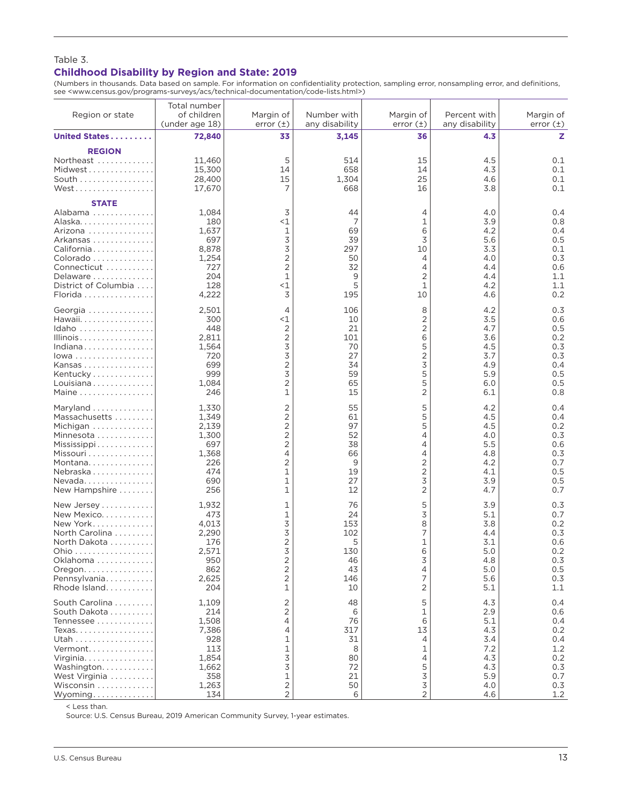### Table 3. **Childhood Disability by Region and State: 2019**

(Numbers in thousands. Data based on sample. For information on confidentiality protection, sampling error, nonsampling error, and definitions, see <www.census.gov/programs-surveys/acs/technical-documentation/code-lists.html>)

| Region or state                                                                                                                                   | Total number<br>of children<br>(under age 18)                                | Margin of<br>error $(\pm)$                                                       | Number with<br>any disability                           | Margin of<br>error $(\pm)$                                  | Percent with<br>any disability                                     | Margin of<br>error $(\pm)$                                         |
|---------------------------------------------------------------------------------------------------------------------------------------------------|------------------------------------------------------------------------------|----------------------------------------------------------------------------------|---------------------------------------------------------|-------------------------------------------------------------|--------------------------------------------------------------------|--------------------------------------------------------------------|
| United States                                                                                                                                     | 72,840                                                                       | 33                                                                               | 3,145                                                   | 36                                                          | 4.3                                                                | z                                                                  |
| <b>REGION</b><br>Northeast<br>Midwest<br>South<br>West                                                                                            | 11,460<br>15,300<br>28,400<br>17,670                                         | 5<br>14<br>15<br>7                                                               | 514<br>658<br>1,304<br>668                              | 15<br>14<br>25<br>16                                        | 4.5<br>4.3<br>4.6<br>3.8                                           | 0.1<br>0.1<br>0.1<br>0.1                                           |
| <b>STATE</b><br>Alabama<br>Alaska.<br>Arizona<br>Arkansas<br>California<br>Colorado<br>Connecticut<br>Delaware<br>District of Columbia<br>Florida | 1,084<br>180<br>1,637<br>697<br>8,878<br>1,254<br>727<br>204<br>128<br>4,222 | 3<br>$<$ 1<br>1<br>3<br>3<br>$\overline{2}$<br>$\overline{2}$<br>1<br>$<$ 1<br>3 | 44<br>7<br>69<br>39<br>297<br>50<br>32<br>9<br>5<br>195 | 4<br>1<br>6<br>3<br>10<br>4<br>4<br>2<br>$\mathbf{1}$<br>10 | 4.0<br>3.9<br>4.2<br>5.6<br>3.3<br>4.0<br>4.4<br>4.4<br>4.2<br>4.6 | 0.4<br>0.8<br>0.4<br>0.5<br>0.1<br>0.3<br>0.6<br>1.1<br>1.1<br>0.2 |
| Georgia                                                                                                                                           | 2,501                                                                        | 4                                                                                | 106                                                     | 8                                                           | 4.2                                                                | 0.3                                                                |
| Hawaii.                                                                                                                                           | 300                                                                          | <1                                                                               | 10                                                      | 2                                                           | 3.5                                                                | 0.6                                                                |
| Idaho                                                                                                                                             | 448                                                                          | 2                                                                                | 21                                                      | $\overline{2}$                                              | 4.7                                                                | 0.5                                                                |
| Illinois                                                                                                                                          | 2,811                                                                        | 2                                                                                | 101                                                     | 6                                                           | 3.6                                                                | 0.2                                                                |
| Indiana                                                                                                                                           | 1,564                                                                        | 3                                                                                | 70                                                      | 5                                                           | 4.5                                                                | 0.3                                                                |
| lowa                                                                                                                                              | 720                                                                          | 3                                                                                | 27                                                      | $\overline{2}$                                              | 3.7                                                                | 0.3                                                                |
| Kansas                                                                                                                                            | 699                                                                          | $\overline{2}$                                                                   | 34                                                      | 3                                                           | 4.9                                                                | 0.4                                                                |
| Kentucky                                                                                                                                          | 999                                                                          | 3                                                                                | 59                                                      | 5                                                           | 5.9                                                                | 0.5                                                                |
| Louisiana                                                                                                                                         | 1,084                                                                        | $\overline{2}$                                                                   | 65                                                      | 5                                                           | 6.0                                                                | 0.5                                                                |
| Maine                                                                                                                                             | 246                                                                          | 1                                                                                | 15                                                      | 2                                                           | 6.1                                                                | 0.8                                                                |
| Maryland                                                                                                                                          | 1,330                                                                        | 2                                                                                | 55                                                      | 5                                                           | 4.2                                                                | 0.4                                                                |
| Massachusetts                                                                                                                                     | 1,349                                                                        | $\overline{2}$                                                                   | 61                                                      | 5                                                           | 4.5                                                                | 0.4                                                                |
| Michigan                                                                                                                                          | 2,139                                                                        | $\overline{c}$                                                                   | 97                                                      | 5                                                           | 4.5                                                                | 0.2                                                                |
| Minnesota                                                                                                                                         | 1,300                                                                        | $\overline{2}$                                                                   | 52                                                      | 4                                                           | 4.0                                                                | 0.3                                                                |
| Mississippi                                                                                                                                       | 697                                                                          | $\overline{2}$                                                                   | 38                                                      | 4                                                           | 5.5                                                                | 0.6                                                                |
| Missouri                                                                                                                                          | 1,368                                                                        | 4                                                                                | 66                                                      | 4                                                           | 4.8                                                                | 0.3                                                                |
| Montana                                                                                                                                           | 226                                                                          | 2                                                                                | 9                                                       | 2                                                           | 4.2                                                                | 0.7                                                                |
| Nebraska                                                                                                                                          | 474                                                                          | 1                                                                                | 19                                                      | $\overline{2}$                                              | 4.1                                                                | 0.5                                                                |
| Nevada                                                                                                                                            | 690                                                                          | 1                                                                                | 27                                                      | 3                                                           | 3.9                                                                | 0.5                                                                |
| New Hampshire                                                                                                                                     | 256                                                                          | 1                                                                                | 12                                                      | $\overline{2}$                                              | 4.7                                                                | 0.7                                                                |
| New Jersey                                                                                                                                        | 1,932                                                                        | 1                                                                                | 76                                                      | 5                                                           | 3.9                                                                | 0.3                                                                |
| New Mexico.                                                                                                                                       | 473                                                                          | 1                                                                                | 24                                                      | 3                                                           | 5.1                                                                | 0.7                                                                |
| New York                                                                                                                                          | 4,013                                                                        | 3                                                                                | 153                                                     | 8                                                           | 3.8                                                                | 0.2                                                                |
| North Carolina                                                                                                                                    | 2,290                                                                        | 3                                                                                | 102                                                     | 7                                                           | 4.4                                                                | 0.3                                                                |
| North Dakota                                                                                                                                      | 176                                                                          | $\overline{c}$                                                                   | 5                                                       | 1                                                           | 3.1                                                                | 0.6                                                                |
| Ohio                                                                                                                                              | 2,571                                                                        | 3                                                                                | 130                                                     | 6                                                           | 5.0                                                                | 0.2                                                                |
| Oklahoma                                                                                                                                          | 950                                                                          | 2                                                                                | 46                                                      | 3                                                           | 4.8                                                                | 0.3                                                                |
| Oregon.                                                                                                                                           | 862                                                                          | $\overline{c}$                                                                   | 43                                                      | 4                                                           | 5.0                                                                | 0.5                                                                |
| Pennsylvania                                                                                                                                      | 2,625                                                                        | $\overline{2}$                                                                   | 146                                                     | 7                                                           | 5.6                                                                | 0.3                                                                |
| Rhode Island                                                                                                                                      | 204                                                                          | 1                                                                                | 10                                                      | 2                                                           | 5.1                                                                | 1.1                                                                |
| South Carolina                                                                                                                                    | 1,109                                                                        | 2                                                                                | 48                                                      | 5                                                           | 4.3                                                                | 0.4                                                                |
| South Dakota                                                                                                                                      | 214                                                                          | 2                                                                                | 6                                                       | 1                                                           | 2.9                                                                | 0.6                                                                |
| Tennessee                                                                                                                                         | 1,508                                                                        | 4                                                                                | 76                                                      | 6                                                           | 5.1                                                                | 0.4                                                                |
| Texas.                                                                                                                                            | 7,386                                                                        | 4                                                                                | 317                                                     | 13                                                          | 4.3                                                                | 0.2                                                                |
| Utah                                                                                                                                              | 928                                                                          | 1                                                                                | 31                                                      | 4                                                           | 3.4                                                                | 0.4                                                                |
| Vermont                                                                                                                                           | 113                                                                          | 1                                                                                | 8                                                       | 1                                                           | 7.2                                                                | 1.2                                                                |
| Virginia.                                                                                                                                         | 1,854                                                                        | 3                                                                                | 80                                                      | 4                                                           | 4.3                                                                | 0.2                                                                |
| Washington.                                                                                                                                       | 1,662                                                                        | 3                                                                                | 72                                                      | 5                                                           | 4.3                                                                | 0.3                                                                |
| West Virginia                                                                                                                                     | 358                                                                          | $\mathbf 1$                                                                      | 21                                                      | 3                                                           | 5.9                                                                | 0.7                                                                |
| Wisconsin                                                                                                                                         | 1,263                                                                        | $\mathbf{2}$                                                                     | 50                                                      | 3                                                           | 4.0                                                                | 0.3                                                                |
| Wyoming                                                                                                                                           | 134                                                                          | $\overline{2}$                                                                   | 6                                                       | $\overline{2}$                                              | 4.6                                                                | 1.2                                                                |

< Less than.

Source: U.S. Census Bureau, 2019 American Community Survey, 1-year estimates.